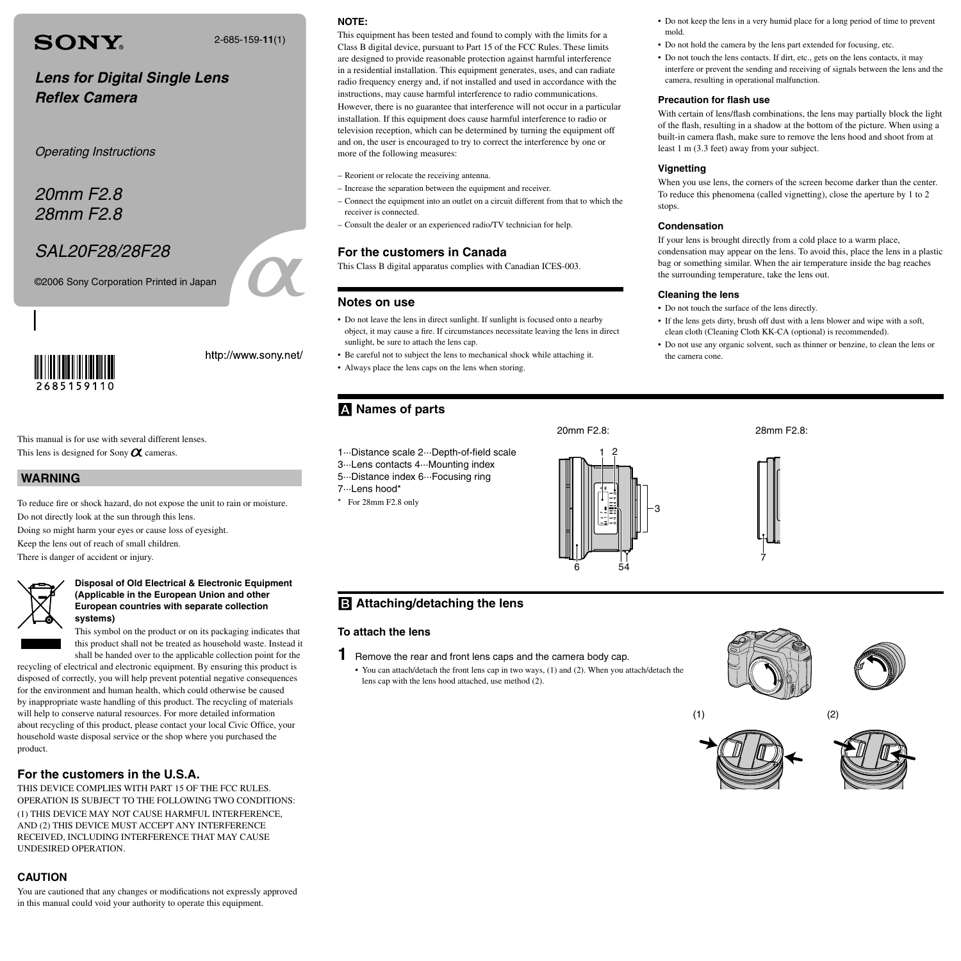# **SONY**

2-685-159-**11**(1)

## **Lens for Digital Single Lens Reflex Camera**

Operating Instructions

20mm F2.8 28mm F2.8

## SAL20F28/28F28

©2006 Sony Corporation Printed in Japan



http://www.sony.net/

This manual is for use with several different lenses. This lens is designed for Sony  $\alpha$  cameras.

### **WARNING**

To reduce fire or shock hazard, do not expose the unit to rain or moisture. Do not directly look at the sun through this lens. Doing so might harm your eyes or cause loss of eyesight.

Keep the lens out of reach of small children.

There is danger of accident or injury.

### **Disposal of Old Electrical & Electronic Equipment (Applicable in the European Union and other European countries with separate collection systems)**

This symbol on the product or on its packaging indicates that this product shall not be treated as household waste. Instead it shall be handed over to the applicable collection point for the

recycling of electrical and electronic equipment. By ensuring this product is disposed of correctly, you will help prevent potential negative consequences for the environment and human health, which could otherwise be caused by inappropriate waste handling of this product. The recycling of materials will help to conserve natural resources. For more detailed information about recycling of this product, please contact your local Civic Office, your household waste disposal service or the shop where you purchased the product.

### **For the customers in the U.S.A.**

THIS DEVICE COMPLIES WITH PART 15 OF THE FCC RULES. OPERATION IS SUBJECT TO THE FOLLOWING TWO CONDITIONS: (1) THIS DEVICE MAY NOT CAUSE HARMFUL INTERFERENCE, AND (2) THIS DEVICE MUST ACCEPT ANY INTERFERENCE RECEIVED, INCLUDING INTERFERENCE THAT MAY CAUSE UNDESIRED OPERATION.

## **CAUTION**

You are cautioned that any changes or modifications not expressly approved in this manual could void your authority to operate this equipment.

#### **NOTE:**

This equipment has been tested and found to comply with the limits for a Class B digital device, pursuant to Part 15 of the FCC Rules. These limits are designed to provide reasonable protection against harmful interference in a residential installation. This equipment generates, uses, and can radiate radio frequency energy and, if not installed and used in accordance with the instructions, may cause harmful interference to radio communications.

However, there is no guarantee that interference will not occur in a particular installation. If this equipment does cause harmful interference to radio or television reception, which can be determined by turning the equipment off and on, the user is encouraged to try to correct the interference by one or more of the following measures:

- Reorient or relocate the receiving antenna.
- Increase the separation between the equipment and receiver.
- Connect the equipment into an outlet on a circuit different from that to which the receiver is connected.
- Consult the dealer or an experienced radio/TV technician for help.

#### **For the customers in Canada**

This Class B digital apparatus complies with Canadian ICES-003.

#### **Notes on use**

- Do not leave the lens in direct sunlight. If sunlight is focused onto a nearby object, it may cause a fire. If circumstances necessitate leaving the lens in direct sunlight, be sure to attach the lens cap.
- Be careful not to subject the lens to mechanical shock while attaching it.
- Always place the lens caps on the lens when storing.

## **Names of parts**

- 1···Distance scale 2···Depth-of-field scale
- 3···Lens contacts 4···Mounting index
- 5···Distance index 6···Focusing ring
- 7···Lens hood\*

**To attach the lens**

\* For 28mm F2.8 only

**B** Attaching/detaching the lens

**1** Remove the rear and front lens caps and the camera body cap.

lens cap with the lens hood attached, use method (2).

• You can attach/detach the front lens cap in two ways, (1) and (2). When you attach/detach the



- Do not hold the camera by the lens part extended for focusing, etc.
- Do not touch the lens contacts. If dirt, etc., gets on the lens contacts, it may interfere or prevent the sending and receiving of signals between the lens and the camera, resulting in operational malfunction.

#### **Precaution for flash use**

With certain of lens/flash combinations, the lens may partially block the light of the flash, resulting in a shadow at the bottom of the picture. When using a built-in camera flash, make sure to remove the lens hood and shoot from at least 1 m (3.3 feet) away from your subject.

#### **Vignetting**

When you use lens, the corners of the screen become darker than the center. To reduce this phenomena (called vignetting), close the aperture by 1 to 2 stops.

#### **Condensation**

If your lens is brought directly from a cold place to a warm place, condensation may appear on the lens. To avoid this, place the lens in a plastic bag or something similar. When the air temperature inside the bag reaches the surrounding temperature, take the lens out.

#### **Cleaning the lens**

20mm F2.8: 28mm F2.8:

- Do not touch the surface of the lens directly.
- If the lens gets dirty, brush off dust with a lens blower and wipe with a soft, clean cloth (Cleaning Cloth KK-CA (optional) is recommended).
- Do not use any organic solvent, such as thinner or benzine, to clean the lens or the camera cone.





 $(1)$  (2)